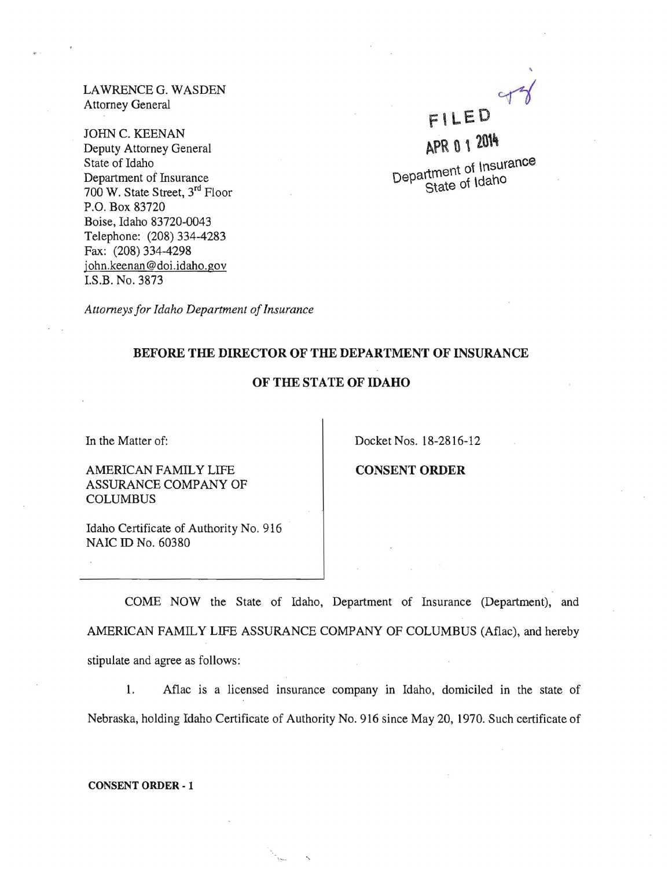LAWRENCE G. WASDEN Attorney General

JOHN C. KEENAN Deputy Attorney General State of Idaho Department of Insurance 700 W. State Street, 3rd Floor P.O. Box 83720 Boise, Idaho 83720-0043 Telephone: (208) 334-4283 Fax: (208) 334-4298 john.keenan@doi.idaho.gov LS.B. No. 3873

•

# FILED APR 0 1 2014

Department of Insurance State of Idaho

*Attorneys for Idaho Department of Insurance* 

## BEFORE THE DIRECTOR OF THE DEPARTMENT OF INSURANCE

## OF THE STATE OF IDAHO

In the Matter of:

Docket Nos. 18-2816-12

AMERICAN FAMILY LIFE ASSURANCE COMPANY OF COLUMBUS

CONSENT ORDER

Idaho Certificate of Authority No. 916 NAIC ID No. 60380

COME NOW the State of Idaho, Department of Insurance (Department), and AMERICAN FAMILY LIFE ASSURANCE COMPANY OF COLUMBUS (Aflac), and hereby stipulate and agree as follows:

1. Aflac is a licensed insurance company in Idaho, domiciled in the state of Nebraska, holding Idaho Certificate of Authority No. 916 since May 20, 1970. Such certificate of

CONSENT ORDER - 1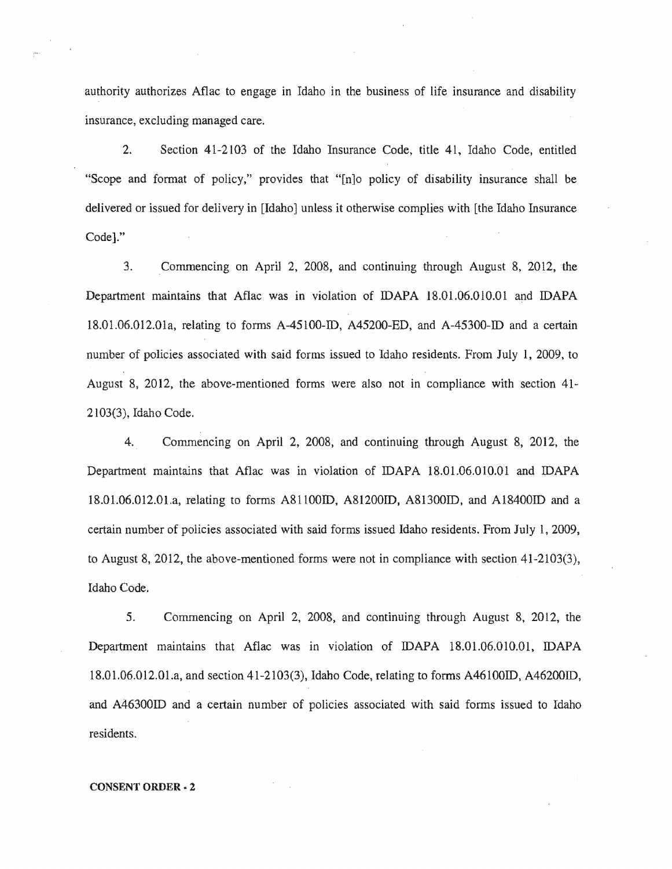authority authorizes Aflac to engage in Idaho in the business of life insurance and disability insurance, excluding managed care.

2. Section 41-2103 of the Idaho Insurance Code, title 41, Idaho Code, entitled "Scope and format of policy," provides that "[n]o policy of disability insurance shall be delivered or issued for delivery in [Idaho] unless it otherwise complies with [the Idaho Insurance Codel."

3. Commencing on April 2, 2008, and continuing through August 8, 2012, the Department maintains that Aflac was in violation of IDAPA 18.01.06.010.01 and IDAPA 18.01.06.012.01a, relating to forms A-45100-ID, A45200-ED, and A-45300-ID and a certain number of policies associated with said forms issued to Idaho residents. From July 1, 2009, to August 8, 2012, the above-mentioned forms were also not in compliance with section  $41$ -2103(3), Idaho Code.

4. Commencing on April 2, 2008, and continuing through August 8, 2012, the Department maintains that Aflac was in violation of IDAPA 18.01.06.010.01 and 18.01.06.012.01.a, relating to forms A81100ID, A81200ID, A81300ID, and A18400ID and a certain number of policies associated with said forms issued Idaho residents. From July 1, 2009, to August 8, 2012, the above-mentioned forms were not in compliance with section 41-2103(3), Idaho Code.

5. Commencing on April 2, 2008, and continuing through August 8, 2012, the Department maintains that Aflac was in violation of IDAPA 18.01.06.010.01, IDAPA 18.01.06.012.01.a, and section 41-2103(3), Idaho Code, relating to forms A46100ID, A46200ID, and A46300ID and a certain number of policies associated with said forms issued to Idaho residents.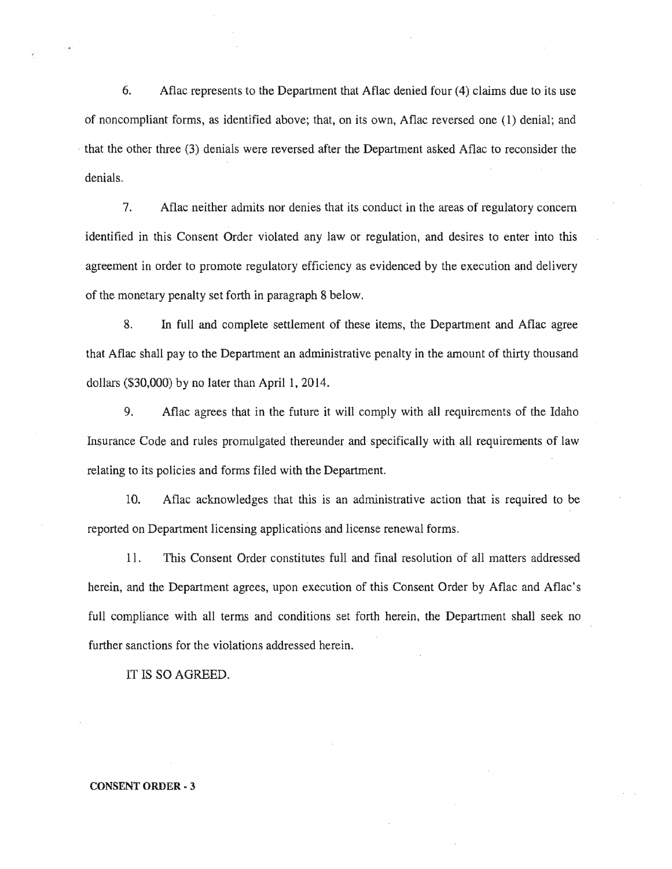6. Aflac represents to the Department that Aflac denied four (4) claims due to its use of noncompliant forms, as identified above; that, on its own, Aflac reversed one (1) denial; and  $\cdot$  that the other three (3) denials were reversed after the Department asked Aflac to reconsider the denials.

7. Aflac neither admits nor denies that its conduct in the areas of regulatory concern identified in this Consent Order violated any law or regulation, and desires to enter into this agreement in order to promote regulatory efficiency as evidenced by the execution and delivery of the monetary penalty set forth in paragraph 8 below.

8. In full and complete settlement of these items, the Department and Aflac agree that Aflac shall pay to the Department an administrative penalty in the amount of thirty thousand dollars (\$30,000) by no later than April 1, 2014.

9. Aflac agrees that in the future it will comply with all requirements of the Idaho Insurance Code and rules promulgated thereunder and specifically with all requirements of law relating to its policies and forms filed with the Department.

10. Aflac acknowledges that this is an administrative action that is required to be reported on Department licensing applications and license renewal forms.

11. This Consent Order constitutes full and final resolution of all matters addressed herein, and the Department agrees, upon execution of this Consent Order by Aflac and Aflac's full compliance with all terms and conditions set forth herein, the Department shall seek no further sanctions for the violations addressed herein.

IT IS SO AGREED.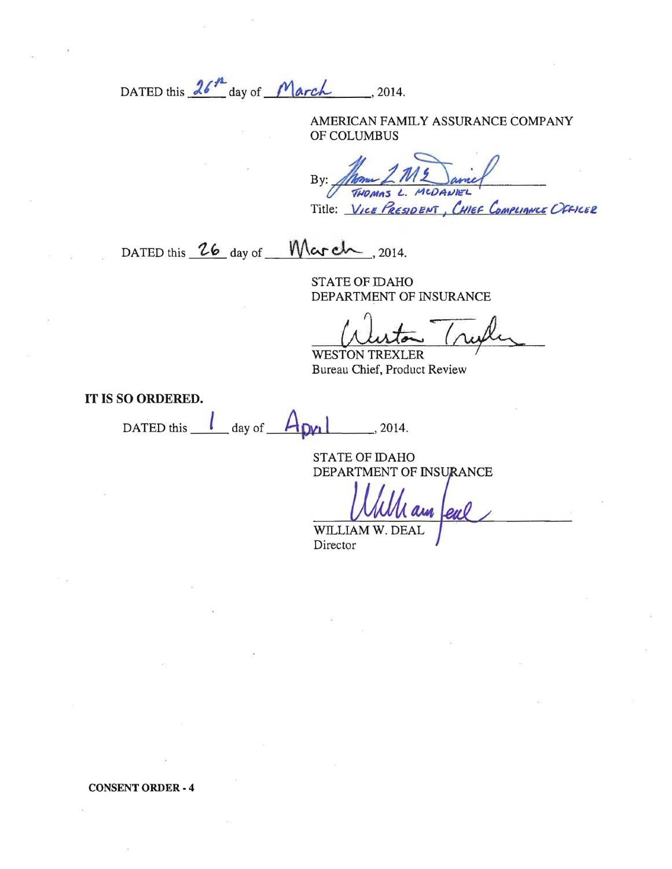DATED this  $26<sup>h</sup>$  day of March , 2014.

AMERICAN FAMILY ASSURANCE COMPANY OF COLUMBUS

By: *James 2 M2 Samel* Title: *VICE PRESIDENT, CHIEF COMPLIANCE OFFICER* 

DATED this  $\frac{26}{9}$  day of  $\frac{W}{\sqrt{2}}$ , 2014.

STATE OF IDAHO DEPARTMENT OF INSURANCE

WESTON TREXLER Bureau Chief, Product Review

**IT** IS SO ORDERED.

DATED this  $\frac{1}{\log n}$  day of  $\frac{1}{\log n}$ , 2014.

STATE OF IDAHO DEPARTMENT OF INSURANCE

eul

WILLIAM Director